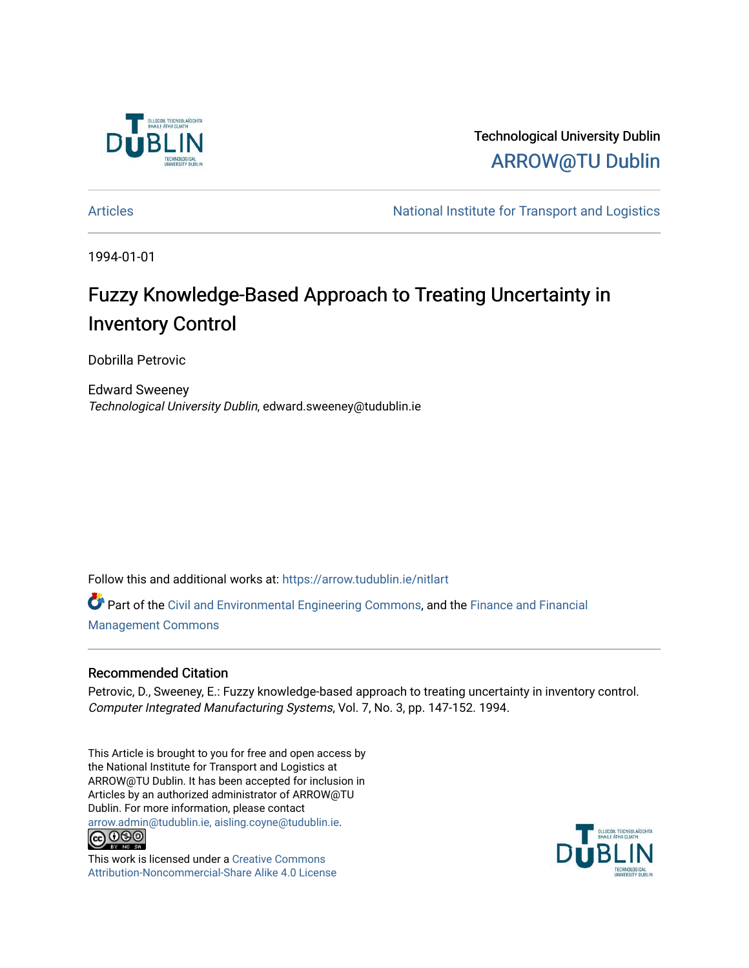

Technological University Dublin [ARROW@TU Dublin](https://arrow.tudublin.ie/) 

[Articles](https://arrow.tudublin.ie/nitlart) **Articles** Articles Articles Articles Articles Articles Articles Articles Articles Articles Articles Articles Articles Articles Articles Articles Articles Articles Articles Articles Articles Articles Articles Arti

1994-01-01

### Fuzzy Knowledge-Based Approach to Treating Uncertainty in Inventory Control

Dobrilla Petrovic

Edward Sweeney Technological University Dublin, edward.sweeney@tudublin.ie

Follow this and additional works at: [https://arrow.tudublin.ie/nitlart](https://arrow.tudublin.ie/nitlart?utm_source=arrow.tudublin.ie%2Fnitlart%2F15&utm_medium=PDF&utm_campaign=PDFCoverPages) 

Part of the [Civil and Environmental Engineering Commons](http://network.bepress.com/hgg/discipline/251?utm_source=arrow.tudublin.ie%2Fnitlart%2F15&utm_medium=PDF&utm_campaign=PDFCoverPages), and the [Finance and Financial](http://network.bepress.com/hgg/discipline/631?utm_source=arrow.tudublin.ie%2Fnitlart%2F15&utm_medium=PDF&utm_campaign=PDFCoverPages)  [Management Commons](http://network.bepress.com/hgg/discipline/631?utm_source=arrow.tudublin.ie%2Fnitlart%2F15&utm_medium=PDF&utm_campaign=PDFCoverPages)

#### Recommended Citation

Petrovic, D., Sweeney, E.: Fuzzy knowledge-based approach to treating uncertainty in inventory control. Computer Integrated Manufacturing Systems, Vol. 7, No. 3, pp. 147-152. 1994.

This Article is brought to you for free and open access by the National Institute for Transport and Logistics at ARROW@TU Dublin. It has been accepted for inclusion in Articles by an authorized administrator of ARROW@TU Dublin. For more information, please contact [arrow.admin@tudublin.ie, aisling.coyne@tudublin.ie](mailto:arrow.admin@tudublin.ie,%20aisling.coyne@tudublin.ie).<br>COOO



This work is licensed under a [Creative Commons](http://creativecommons.org/licenses/by-nc-sa/4.0/) [Attribution-Noncommercial-Share Alike 4.0 License](http://creativecommons.org/licenses/by-nc-sa/4.0/)

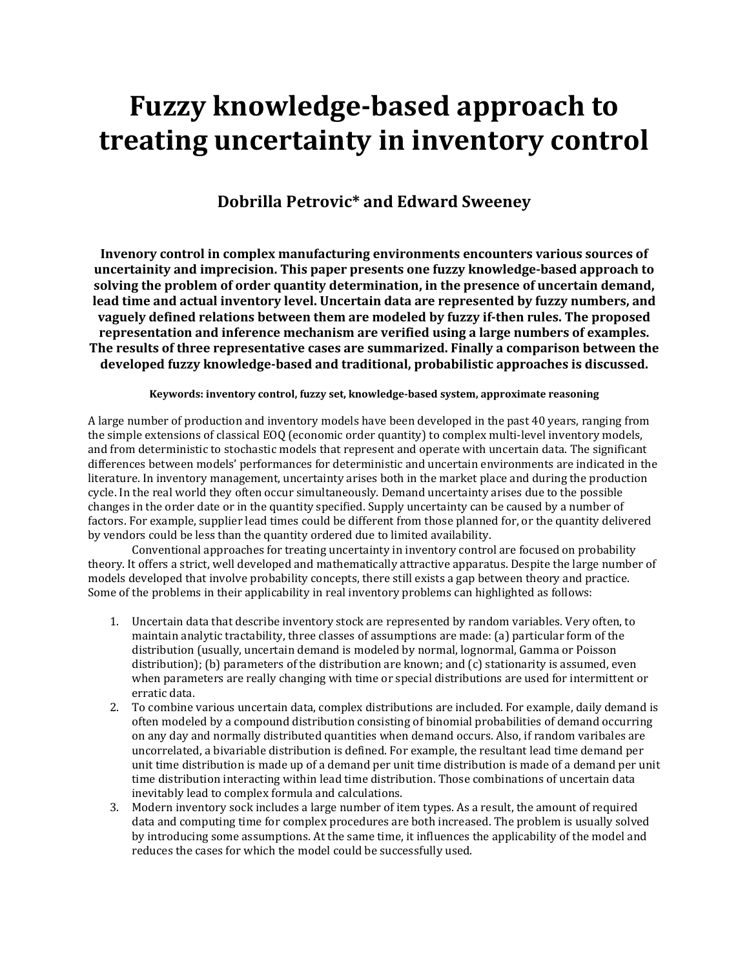## Fuzzy knowledge-based approach to treating uncertainty in inventory control

### Dobrilla Petrovic\* and Edward Sweeney

Invenory control in complex manufacturing environments encounters various sources of uncertainity and imprecision. This paper presents one fuzzy knowledge-based approach to solving the problem of order quantity determination, in the presence of uncertain demand, lead time and actual inventory level. Uncertain data are represented by fuzzy numbers, and vaguely defined relations between them are modeled by fuzzy if-then rules. The proposed representation and inference mechanism are verified using a large numbers of examples. The results of three representative cases are summarized. Finally a comparison between the developed fuzzy knowledge-based and traditional, probabilistic approaches is discussed.

#### Keywords: inventory control, fuzzy set, knowledge-based system, approximate reasoning

A large number of production and inventory models have been developed in the past 40 years, ranging from the simple extensions of classical EOQ (economic order quantity) to complex multi-level inventory models, and from deterministic to stochastic models that represent and operate with uncertain data. The significant differences between models' performances for deterministic and uncertain environments are indicated in the literature. In inventory management, uncertainty arises both in the market place and during the production cycle. In the real world they often occur simultaneously. Demand uncertainty arises due to the possible changes in the order date or in the quantity specified. Supply uncertainty can be caused by a number of factors. For example, supplier lead times could be different from those planned for, or the quantity delivered by vendors could be less than the quantity ordered due to limited availability.

 Conventional approaches for treating uncertainty in inventory control are focused on probability theory. It offers a strict, well developed and mathematically attractive apparatus. Despite the large number of models developed that involve probability concepts, there still exists a gap between theory and practice. Some of the problems in their applicability in real inventory problems can highlighted as follows:

- 1. Uncertain data that describe inventory stock are represented by random variables. Very often, to maintain analytic tractability, three classes of assumptions are made: (a) particular form of the distribution (usually, uncertain demand is modeled by normal, lognormal, Gamma or Poisson distribution); (b) parameters of the distribution are known; and (c) stationarity is assumed, even when parameters are really changing with time or special distributions are used for intermittent or erratic data.
- 2. To combine various uncertain data, complex distributions are included. For example, daily demand is often modeled by a compound distribution consisting of binomial probabilities of demand occurring on any day and normally distributed quantities when demand occurs. Also, if random varibales are uncorrelated, a bivariable distribution is defined. For example, the resultant lead time demand per unit time distribution is made up of a demand per unit time distribution is made of a demand per unit time distribution interacting within lead time distribution. Those combinations of uncertain data inevitably lead to complex formula and calculations.
- 3. Modern inventory sock includes a large number of item types. As a result, the amount of required data and computing time for complex procedures are both increased. The problem is usually solved by introducing some assumptions. At the same time, it influences the applicability of the model and reduces the cases for which the model could be successfully used.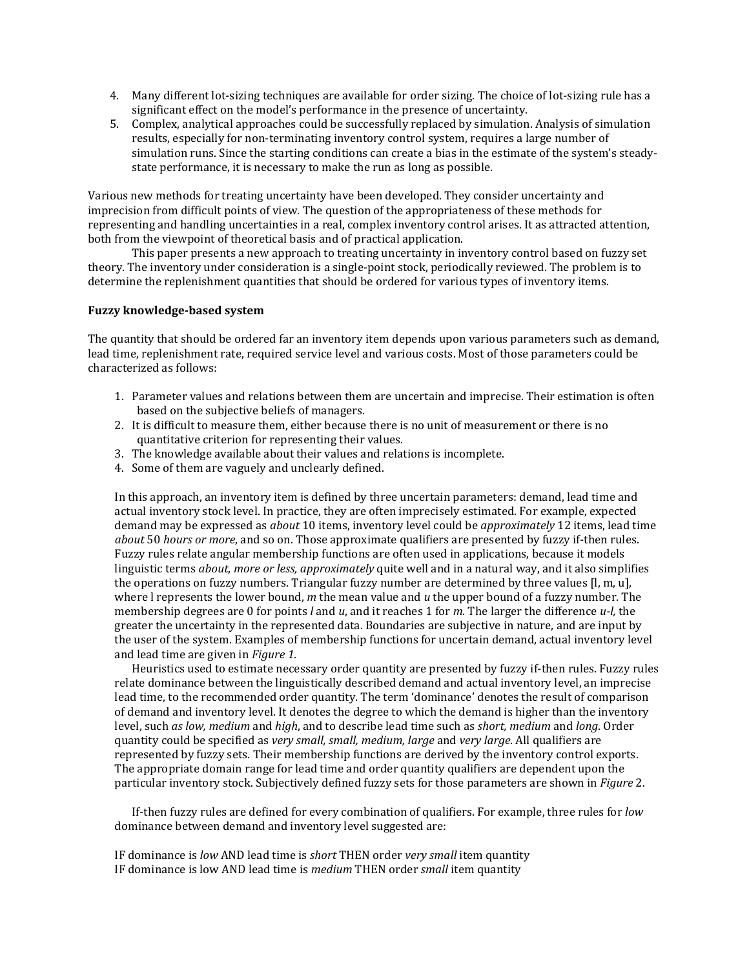- 4. Many different lot-sizing techniques are available for order sizing. The choice of lot-sizing rule has a significant effect on the model's performance in the presence of uncertainty.
- 5. Complex, analytical approaches could be successfully replaced by simulation. Analysis of simulation results, especially for non-terminating inventory control system, requires a large number of simulation runs. Since the starting conditions can create a bias in the estimate of the system's steadystate performance, it is necessary to make the run as long as possible.

Various new methods for treating uncertainty have been developed. They consider uncertainty and imprecision from difficult points of view. The question of the appropriateness of these methods for representing and handling uncertainties in a real, complex inventory control arises. It as attracted attention, both from the viewpoint of theoretical basis and of practical application.

 This paper presents a new approach to treating uncertainty in inventory control based on fuzzy set theory. The inventory under consideration is a single-point stock, periodically reviewed. The problem is to determine the replenishment quantities that should be ordered for various types of inventory items.

#### Fuzzy knowledge-based system

The quantity that should be ordered far an inventory item depends upon various parameters such as demand, lead time, replenishment rate, required service level and various costs. Most of those parameters could be characterized as follows:

- 1. Parameter values and relations between them are uncertain and imprecise. Their estimation is often based on the subjective beliefs of managers.
- 2. It is difficult to measure them, either because there is no unit of measurement or there is no quantitative criterion for representing their values.
- 3. The knowledge available about their values and relations is incomplete.
- 4. Some of them are vaguely and unclearly defined.

In this approach, an inventory item is defined by three uncertain parameters: demand, lead time and actual inventory stock level. In practice, they are often imprecisely estimated. For example, expected demand may be expressed as *about* 10 items, inventory level could be *approximately* 12 items, lead time about 50 hours or more, and so on. Those approximate qualifiers are presented by fuzzy if-then rules. Fuzzy rules relate angular membership functions are often used in applications, because it models linguistic terms *about, more or less, approximately* quite well and in a natural way, and it also simplifies the operations on fuzzy numbers. Triangular fuzzy number are determined by three values [l, m, u], where I represents the lower bound,  $m$  the mean value and  $u$  the upper bound of a fuzzy number. The membership degrees are 0 for points  $l$  and  $u$ , and it reaches 1 for m. The larger the difference  $u$ - $l$ , the greater the uncertainty in the represented data. Boundaries are subjective in nature, and are input by the user of the system. Examples of membership functions for uncertain demand, actual inventory level and lead time are given in Figure 1.

 Heuristics used to estimate necessary order quantity are presented by fuzzy if-then rules. Fuzzy rules relate dominance between the linguistically described demand and actual inventory level, an imprecise lead time, to the recommended order quantity. The term 'dominance' denotes the result of comparison of demand and inventory level. It denotes the degree to which the demand is higher than the inventory level, such as low, medium and high, and to describe lead time such as short, medium and long. Order quantity could be specified as very small, small, medium, large and very large. All qualifiers are represented by fuzzy sets. Their membership functions are derived by the inventory control exports. The appropriate domain range for lead time and order quantity qualifiers are dependent upon the particular inventory stock. Subjectively defined fuzzy sets for those parameters are shown in *Figure* 2.

If-then fuzzy rules are defined for every combination of qualifiers. For example, three rules for low dominance between demand and inventory level suggested are:

IF dominance is low AND lead time is short THEN order very small item quantity IF dominance is low AND lead time is medium THEN order small item quantity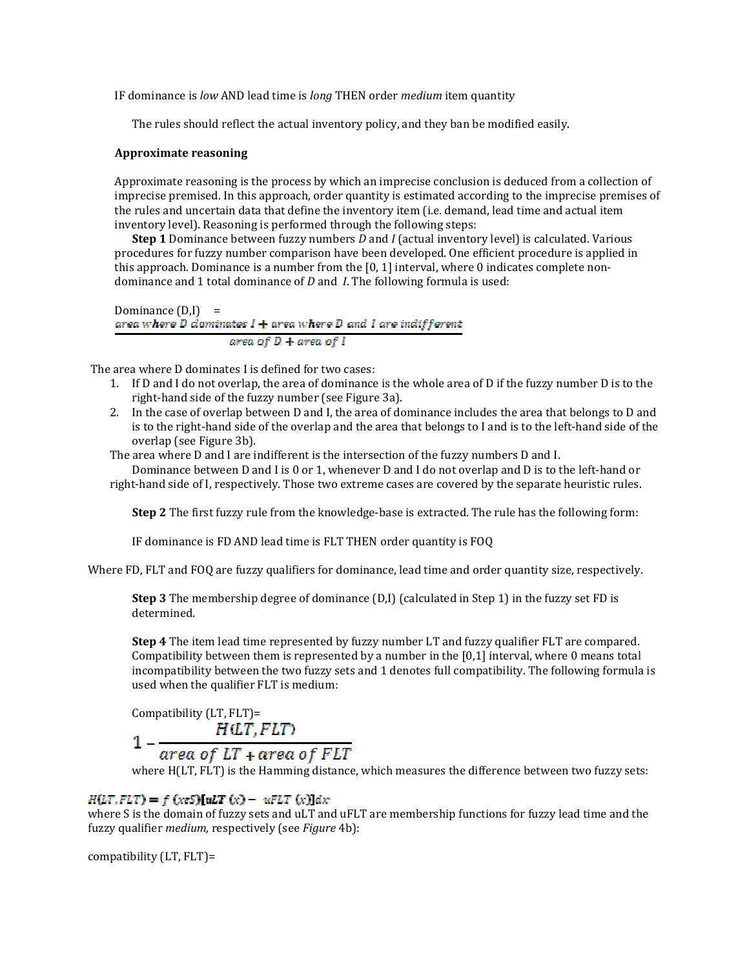IF dominance is low AND lead time is long THEN order medium item quantity

The rules should reflect the actual inventory policy, and they ban be modified easily.

#### Approximate reasoning

Approximate reasoning is the process by which an imprecise conclusion is deduced from a collection of imprecise premised. In this approach, order quantity is estimated according to the imprecise premises of the rules and uncertain data that define the inventory item (i.e. demand, lead time and actual item inventory level). Reasoning is performed through the following steps:

**Step 1** Dominance between fuzzy numbers D and I (actual inventory level) is calculated. Various procedures for fuzzy number comparison have been developed. One efficient procedure is applied in this approach. Dominance is a number from the [0, 1] interval, where 0 indicates complete nondominance and 1 total dominance of  $D$  and  $I$ . The following formula is used:

Dominance  $(D,I)$  =<br>area where D dominates  $I + \alpha$ rea where D and I are indifferent area of  $D$  + area of  $I$ 

The area where D dominates I is defined for two cases:

- 1. If D and I do not overlap, the area of dominance is the whole area of D if the fuzzy number D is to the right-hand side of the fuzzy number (see Figure 3a).
- 2. In the case of overlap between D and I, the area of dominance includes the area that belongs to D and is to the right-hand side of the overlap and the area that belongs to I and is to the left-hand side of the overlap (see Figure 3b).
- The area where D and I are indifferent is the intersection of the fuzzy numbers D and I.

Dominance between D and I is 0 or 1, whenever D and I do not overlap and D is to the left-hand or right-hand side of I, respectively. Those two extreme cases are covered by the separate heuristic rules.

Step 2 The first fuzzy rule from the knowledge-base is extracted. The rule has the following form:

IF dominance is FD AND lead time is FLT THEN order quantity is FOQ

Where FD, FLT and FOQ are fuzzy qualifiers for dominance, lead time and order quantity size, respectively.

Step 3 The membership degree of dominance (D,I) (calculated in Step 1) in the fuzzy set FD is determined.

Step 4 The item lead time represented by fuzzy number LT and fuzzy qualifier FLT are compared. Compatibility between them is represented by a number in the [0,1] interval, where 0 means total incompatibility between the two fuzzy sets and 1 denotes full compatibility. The following formula is used when the qualifier FLT is medium:

Compatibility (LT, FLT)  $H(LT, FLT)$ 

# $1 - \frac{area of LT + area of FIT}{area of FLT}$

where H(LT, FLT) is the Hamming distance, which measures the difference between two fuzzy sets:

#### $H(LT, FLT) = f (x \in S)[uLT(x) - uFLT(x)]dx$

where S is the domain of fuzzy sets and uLT and uFLT are membership functions for fuzzy lead time and the fuzzy qualifier medium, respectively (see Figure 4b):

compatibility (LT, FLT)=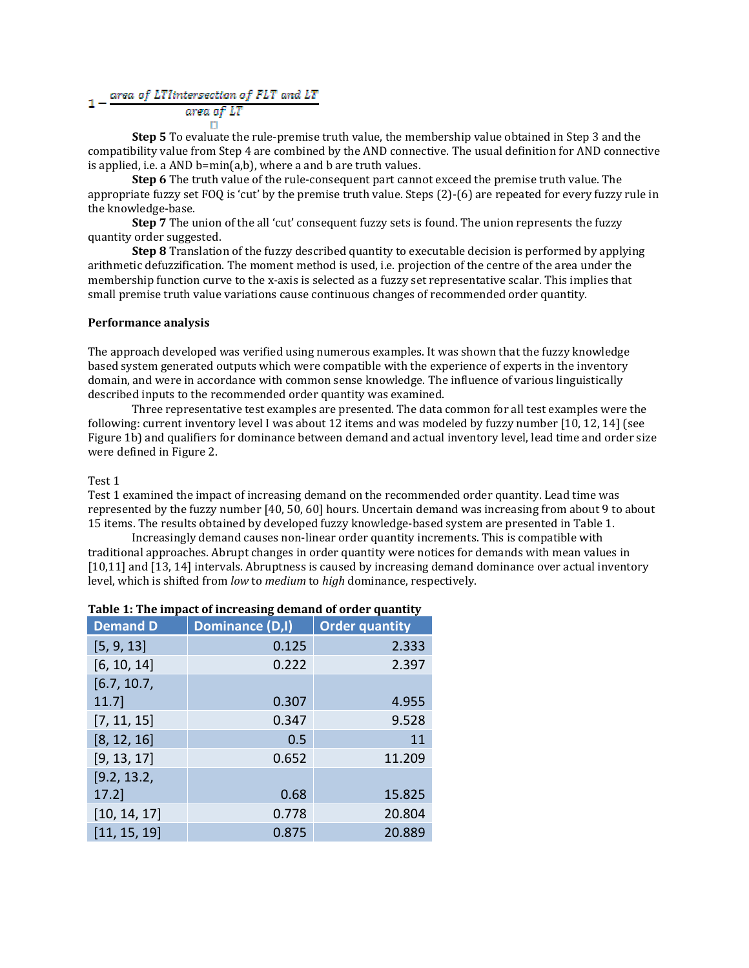#### area of LTIintersection of FLT and LT

#### area of LT

Step 5 To evaluate the rule-premise truth value, the membership value obtained in Step 3 and the compatibility value from Step 4 are combined by the AND connective. The usual definition for AND connective is applied, i.e. a AND b=min(a,b), where a and b are truth values.

Step 6 The truth value of the rule-consequent part cannot exceed the premise truth value. The appropriate fuzzy set FOQ is 'cut' by the premise truth value. Steps (2)-(6) are repeated for every fuzzy rule in the knowledge-base.

Step 7 The union of the all 'cut' consequent fuzzy sets is found. The union represents the fuzzy quantity order suggested.

**Step 8** Translation of the fuzzy described quantity to executable decision is performed by applying arithmetic defuzzification. The moment method is used, i.e. projection of the centre of the area under the membership function curve to the x-axis is selected as a fuzzy set representative scalar. This implies that small premise truth value variations cause continuous changes of recommended order quantity.

#### Performance analysis

The approach developed was verified using numerous examples. It was shown that the fuzzy knowledge based system generated outputs which were compatible with the experience of experts in the inventory domain, and were in accordance with common sense knowledge. The influence of various linguistically described inputs to the recommended order quantity was examined.

 Three representative test examples are presented. The data common for all test examples were the following: current inventory level I was about 12 items and was modeled by fuzzy number [10, 12, 14] (see Figure 1b) and qualifiers for dominance between demand and actual inventory level, lead time and order size were defined in Figure 2.

#### Test 1

Test 1 examined the impact of increasing demand on the recommended order quantity. Lead time was represented by the fuzzy number [40, 50, 60] hours. Uncertain demand was increasing from about 9 to about 15 items. The results obtained by developed fuzzy knowledge-based system are presented in Table 1.

 Increasingly demand causes non-linear order quantity increments. This is compatible with traditional approaches. Abrupt changes in order quantity were notices for demands with mean values in [10,11] and [13, 14] intervals. Abruptness is caused by increasing demand dominance over actual inventory level, which is shifted from low to medium to high dominance, respectively.

| rabic 1. The impact of mercasing acmains of oracl quantity |                 |                       |  |  |  |  |  |
|------------------------------------------------------------|-----------------|-----------------------|--|--|--|--|--|
| <b>Demand D</b>                                            | Dominance (D,I) | <b>Order quantity</b> |  |  |  |  |  |
| [5, 9, 13]                                                 | 0.125           | 2.333                 |  |  |  |  |  |
| [6, 10, 14]                                                | 0.222           | 2.397                 |  |  |  |  |  |
| [6.7, 10.7]                                                |                 |                       |  |  |  |  |  |
| 11.7                                                       | 0.307           | 4.955                 |  |  |  |  |  |
| [7, 11, 15]                                                | 0.347           | 9.528                 |  |  |  |  |  |
| [8, 12, 16]                                                | 0.5             | 11                    |  |  |  |  |  |
| [9, 13, 17]                                                | 0.652           | 11.209                |  |  |  |  |  |
| [9.2, 13.2,                                                |                 |                       |  |  |  |  |  |
| 17.2                                                       | 0.68            | 15.825                |  |  |  |  |  |
| [10, 14, 17]                                               | 0.778           | 20.804                |  |  |  |  |  |
| [11, 15, 19]                                               | 0.875           | 20.889                |  |  |  |  |  |

#### Table 1: The impact of increasing demand of order quantity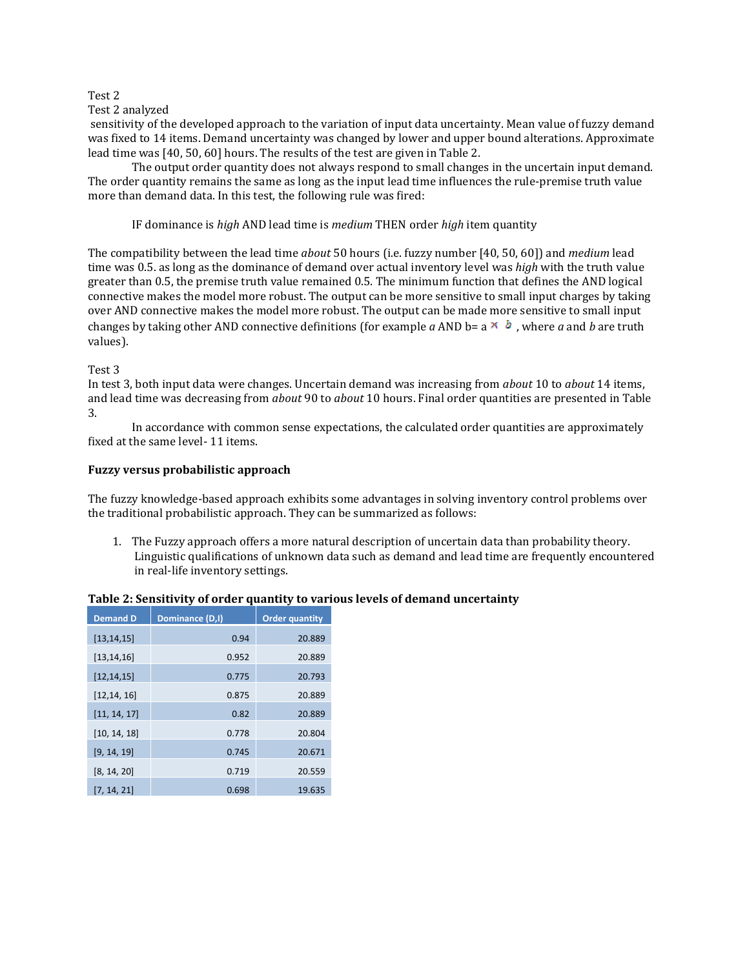#### Test 2

#### Test 2 analyzed

 sensitivity of the developed approach to the variation of input data uncertainty. Mean value of fuzzy demand was fixed to 14 items. Demand uncertainty was changed by lower and upper bound alterations. Approximate lead time was [40, 50, 60] hours. The results of the test are given in Table 2.

 The output order quantity does not always respond to small changes in the uncertain input demand. The order quantity remains the same as long as the input lead time influences the rule-premise truth value more than demand data. In this test, the following rule was fired:

IF dominance is high AND lead time is medium THEN order high item quantity

The compatibility between the lead time *about* 50 hours (i.e. fuzzy number [40, 50, 60]) and *medium* lead time was 0.5. as long as the dominance of demand over actual inventory level was high with the truth value greater than 0.5, the premise truth value remained 0.5. The minimum function that defines the AND logical connective makes the model more robust. The output can be more sensitive to small input charges by taking over AND connective makes the model more robust. The output can be made more sensitive to small input changes by taking other AND connective definitions (for example a AND b=  $a \times b$ , where a and b are truth values).

#### Test 3

In test 3, both input data were changes. Uncertain demand was increasing from about 10 to about 14 items, and lead time was decreasing from *about* 90 to *about* 10 hours. Final order quantities are presented in Table 3.

 In accordance with common sense expectations, the calculated order quantities are approximately fixed at the same level- 11 items.

#### Fuzzy versus probabilistic approach

The fuzzy knowledge-based approach exhibits some advantages in solving inventory control problems over the traditional probabilistic approach. They can be summarized as follows:

1. The Fuzzy approach offers a more natural description of uncertain data than probability theory. Linguistic qualifications of unknown data such as demand and lead time are frequently encountered in real-life inventory settings.

| <b>Demand D</b> | Dominance (D,I) | <b>Order quantity</b> |  |
|-----------------|-----------------|-----------------------|--|
| [13, 14, 15]    | 0.94            | 20.889                |  |
| [13, 14, 16]    | 0.952           | 20.889                |  |
| [12, 14, 15]    | 0.775           | 20.793                |  |
| [12, 14, 16]    | 0.875           | 20.889                |  |
| [11, 14, 17]    | 0.82            | 20.889                |  |
| [10, 14, 18]    | 0.778           | 20.804                |  |
| [9, 14, 19]     | 0.745           | 20.671                |  |
| [8, 14, 20]     | 0.719           | 20.559                |  |
| [7, 14, 21]     | 0.698           | 19.635                |  |

#### Table 2: Sensitivity of order quantity to various levels of demand uncertainty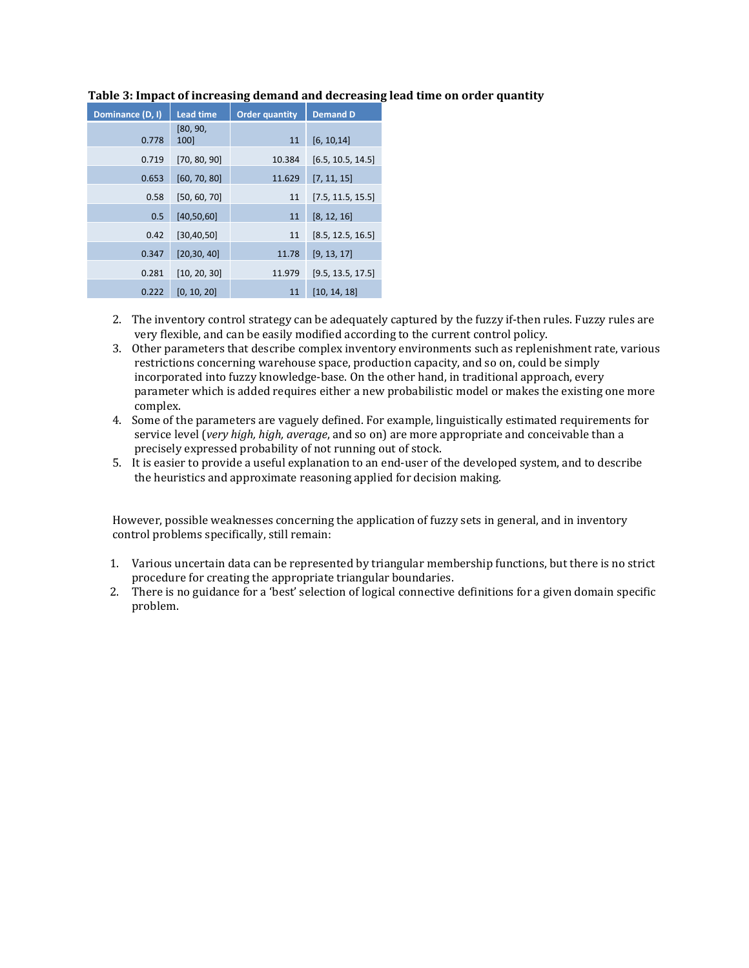| Dominance (D, I) | <b>Lead time</b> | <b>Order quantity</b> | <b>Demand D</b>   |
|------------------|------------------|-----------------------|-------------------|
| 0.778            | [80, 90,<br>100  | 11                    | [6, 10, 14]       |
| 0.719            | [70, 80, 90]     | 10.384                | [6.5, 10.5, 14.5] |
| 0.653            | [60, 70, 80]     | 11.629                | [7, 11, 15]       |
| 0.58             | [50, 60, 70]     | 11                    | [7.5, 11.5, 15.5] |
| 0.5              | [40, 50, 60]     | 11                    | [8, 12, 16]       |
| 0.42             | [30, 40, 50]     | 11                    | [8.5, 12.5, 16.5] |
| 0.347            | [20, 30, 40]     | 11.78                 | [9, 13, 17]       |
| 0.281            | [10, 20, 30]     | 11.979                | [9.5, 13.5, 17.5] |
| 0.222            | [0, 10, 20]      | 11                    | [10, 14, 18]      |

#### Table 3: Impact of increasing demand and decreasing lead time on order quantity

- 2. The inventory control strategy can be adequately captured by the fuzzy if-then rules. Fuzzy rules are very flexible, and can be easily modified according to the current control policy.
- 3. Other parameters that describe complex inventory environments such as replenishment rate, various restrictions concerning warehouse space, production capacity, and so on, could be simply incorporated into fuzzy knowledge-base. On the other hand, in traditional approach, every parameter which is added requires either a new probabilistic model or makes the existing one more complex.
- 4. Some of the parameters are vaguely defined. For example, linguistically estimated requirements for service level (very high, high, average, and so on) are more appropriate and conceivable than a precisely expressed probability of not running out of stock.
- 5. It is easier to provide a useful explanation to an end-user of the developed system, and to describe the heuristics and approximate reasoning applied for decision making.

However, possible weaknesses concerning the application of fuzzy sets in general, and in inventory control problems specifically, still remain:

- 1. Various uncertain data can be represented by triangular membership functions, but there is no strict procedure for creating the appropriate triangular boundaries.
- 2. There is no guidance for a 'best' selection of logical connective definitions for a given domain specific problem.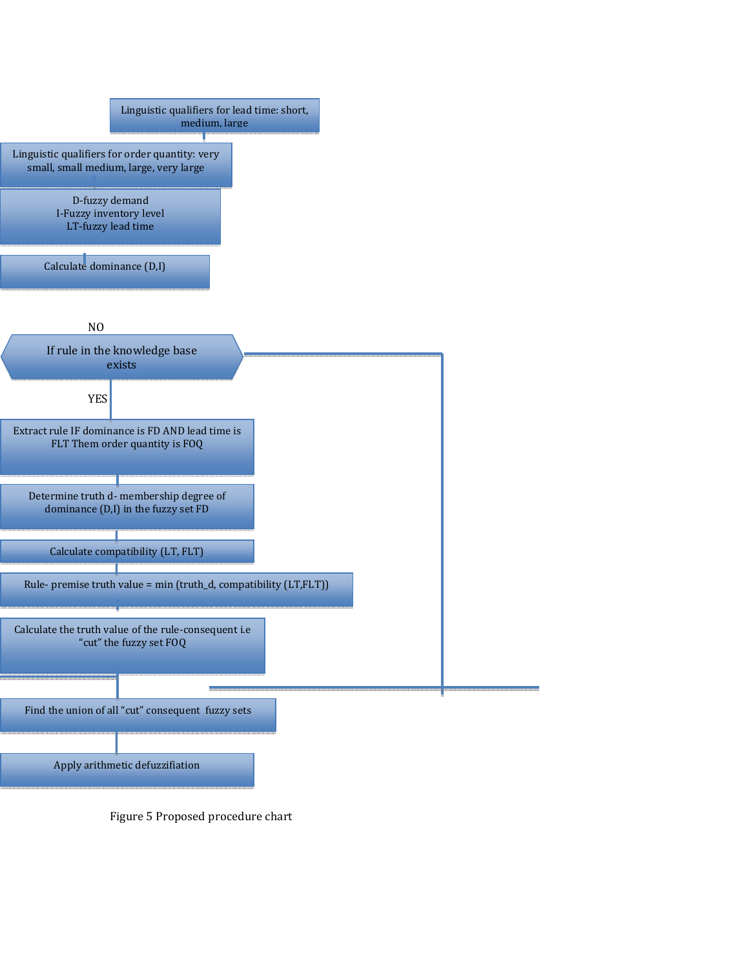